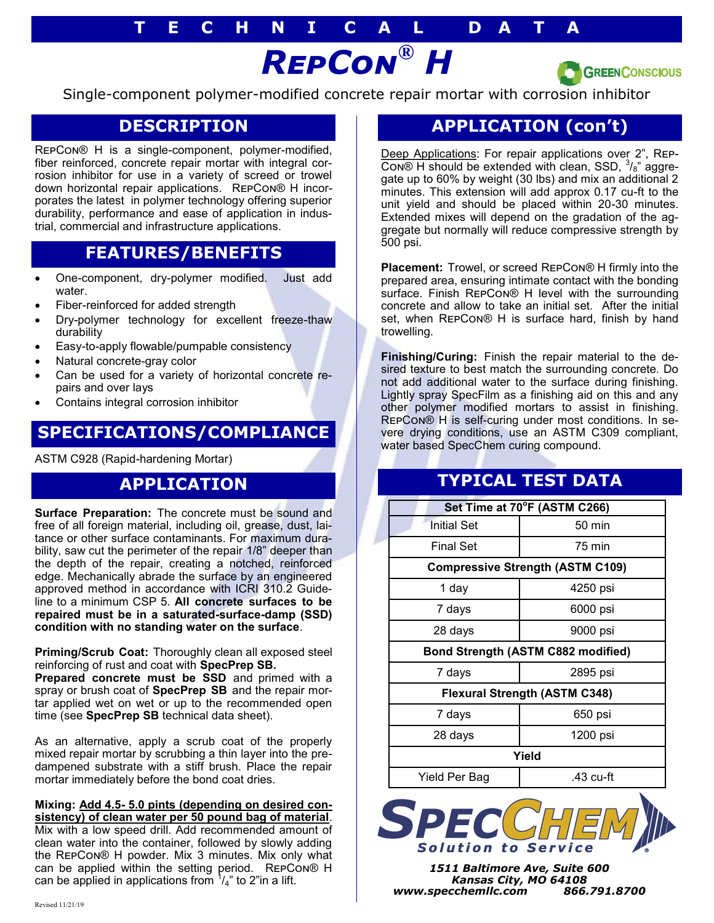### **T E C H N I C A L D A T A**

# *RepCon® H*



Single-component polymer-modified concrete repair mortar with corrosion inhibitor

## **DESCRIPTION**

RepCon® H is a single-component, polymer-modified, fiber reinforced, concrete repair mortar with integral corrosion inhibitor for use in a variety of screed or trowel down horizontal repair applications. RepCon® H incorporates the latest in polymer technology offering superior durability, performance and ease of application in industrial, commercial and infrastructure applications.

## **FEATURES/BENEFITS**

- One-component, dry-polymer modified. Just add water.
- Fiber-reinforced for added strength
- Dry-polymer technology for excellent freeze-thaw durability
- Easy-to-apply flowable/pumpable consistency
- Natural concrete-gray color
- Can be used for a variety of horizontal concrete repairs and over lays
- Contains integral corrosion inhibitor

## **SPECIFICATIONS/COMPLIANCE**

ASTM C928 (Rapid-hardening Mortar)

#### **APPLICATION**

**Surface Preparation:** The concrete must be sound and free of all foreign material, including oil, grease, dust, laitance or other surface contaminants. For maximum durability, saw cut the perimeter of the repair 1/8" deeper than the depth of the repair, creating a notched, reinforced edge. Mechanically abrade the surface by an engineered approved method in accordance with ICRI 310.2 Guideline to a minimum CSP 5. **All concrete surfaces to be repaired must be in a saturated-surface-damp (SSD) condition with no standing water on the surface**.

**Priming/Scrub Coat:** Thoroughly clean all exposed steel reinforcing of rust and coat with **SpecPrep SB.** 

**Prepared concrete must be SSD** and primed with a spray or brush coat of **SpecPrep SB** and the repair mortar applied wet on wet or up to the recommended open time (see **SpecPrep SB** technical data sheet).

As an alternative, apply a scrub coat of the properly mixed repair mortar by scrubbing a thin layer into the predampened substrate with a stiff brush. Place the repair mortar immediately before the bond coat dries.

#### **Mixing: Add 4.5- 5.0 pints (depending on desired consistency) of clean water per 50 pound bag of material**.

Mix with a low speed drill. Add recommended amount of clean water into the container, followed by slowly adding the RepCon® H powder. Mix 3 minutes. Mix only what can be applied within the setting period. RepCon® H can be applied in applications from  $\frac{1}{4}$  to 2"in a lift.

# **APPLICATION (con't)**

Deep Applications: For repair applications over 2", Rep-Con® H should be extended with clean, SSD,  $\frac{3}{8}$  aggregate up to 60% by weight (30 lbs) and mix an additional 2 minutes. This extension will add approx 0.17 cu-ft to the unit yield and should be placed within 20-30 minutes. Extended mixes will depend on the gradation of the aggregate but normally will reduce compressive strength by 500 psi.

**Placement:** Trowel, or screed RepCon® H firmly into the prepared area, ensuring intimate contact with the bonding surface. Finish RepCon® H level with the surrounding concrete and allow to take an initial set. After the initial set, when RepCon® H is surface hard, finish by hand trowelling.

**Finishing/Curing:** Finish the repair material to the desired texture to best match the surrounding concrete. Do not add additional water to the surface during finishing. Lightly spray SpecFilm as a finishing aid on this and any other polymer modified mortars to assist in finishing. RepCon® H is self-curing under most conditions. In severe drying conditions, use an ASTM C309 compliant, water based SpecChem curing compound.

# **TYPICAL TEST DATA**

| Set Time at 70°F (ASTM C266)            |                  |
|-----------------------------------------|------------------|
| <b>Initial Set</b>                      | $50 \text{ min}$ |
| <b>Final Set</b>                        | 75 min           |
| <b>Compressive Strength (ASTM C109)</b> |                  |
| 1 day                                   | 4250 psi         |
| 7 days                                  | 6000 psi         |
| 28 days                                 | 9000 psi         |
| Bond Strength (ASTM C882 modified)      |                  |
| 7 days                                  | 2895 psi         |
| <b>Flexural Strength (ASTM C348)</b>    |                  |
| 7 days                                  | 650 psi          |
| 28 days                                 | 1200 psi         |
| Yield                                   |                  |
| Yield Per Bag                           | $.43$ cu-ft      |
|                                         |                  |



*1511 Baltimore Ave, Suite 600 Kansas City, MO 64108 www.specchemllc.com 866.791.8700*